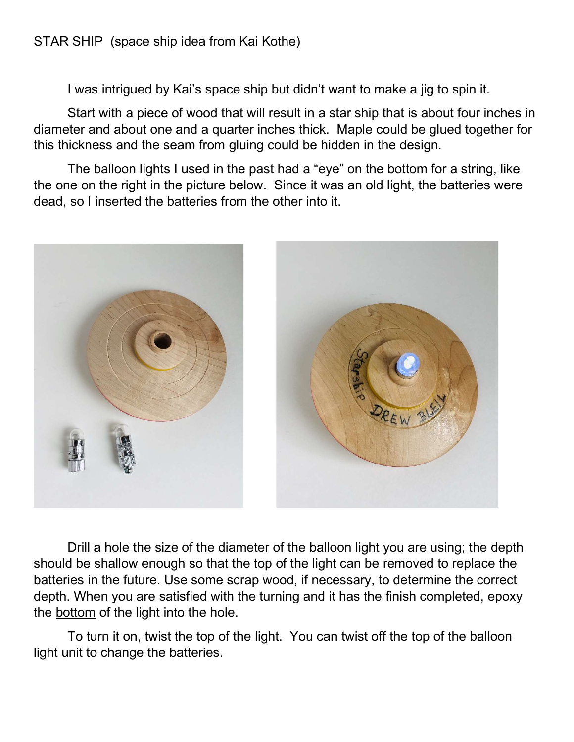I was intrigued by Kai's space ship but didn't want to make a jig to spin it.

Start with a piece of wood that will result in a star ship that is about four inches in diameter and about one and a quarter inches thick. Maple could be glued together for this thickness and the seam from gluing could be hidden in the design.

The balloon lights I used in the past had a "eye" on the bottom for a string, like the one on the right in the picture below. Since it was an old light, the batteries were dead, so I inserted the batteries from the other into it.



Drill a hole the size of the diameter of the balloon light you are using; the depth should be shallow enough so that the top of the light can be removed to replace the batteries in the future. Use some scrap wood, if necessary, to determine the correct depth. When you are satisfied with the turning and it has the finish completed, epoxy the bottom of the light into the hole.

To turn it on, twist the top of the light. You can twist off the top of the balloon light unit to change the batteries.